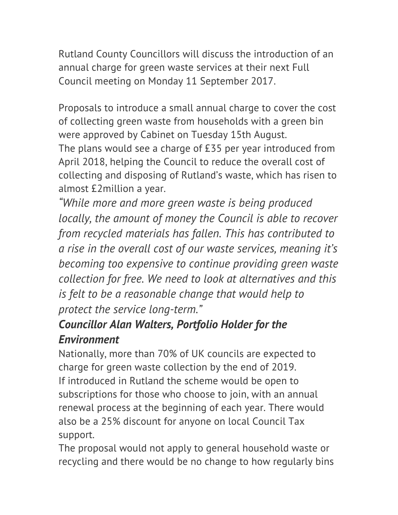Rutland County Councillors will discuss the introduction of an annual charge for green waste services at their next Full Council meeting on Monday 11 September 2017.

Proposals to introduce a small annual charge to cover the cost of collecting green waste from households with a green bin were approved by Cabinet on Tuesday 15th August. The plans would see a charge of £35 per year introduced from April 2018, helping the Council to reduce the overall cost of collecting and disposing of Rutland's waste, which has risen to almost £2million a year.

*"While more and more green waste is being produced locally, the amount of money the Council is able to recover from recycled materials has fallen. This has contributed to a rise in the overall cost of our waste services, meaning it's becoming too expensive to continue providing green waste collection for free. We need to look at alternatives and this is felt to be a reasonable change that would help to protect the service long-term."*

## *Councillor Alan Walters, Portfolio Holder for the Environment*

Nationally, more than 70% of UK councils are expected to charge for green waste collection by the end of 2019. If introduced in Rutland the scheme would be open to subscriptions for those who choose to join, with an annual renewal process at the beginning of each year. There would also be a 25% discount for anyone on local Council Tax support.

The proposal would not apply to general household waste or recycling and there would be no change to how regularly bins